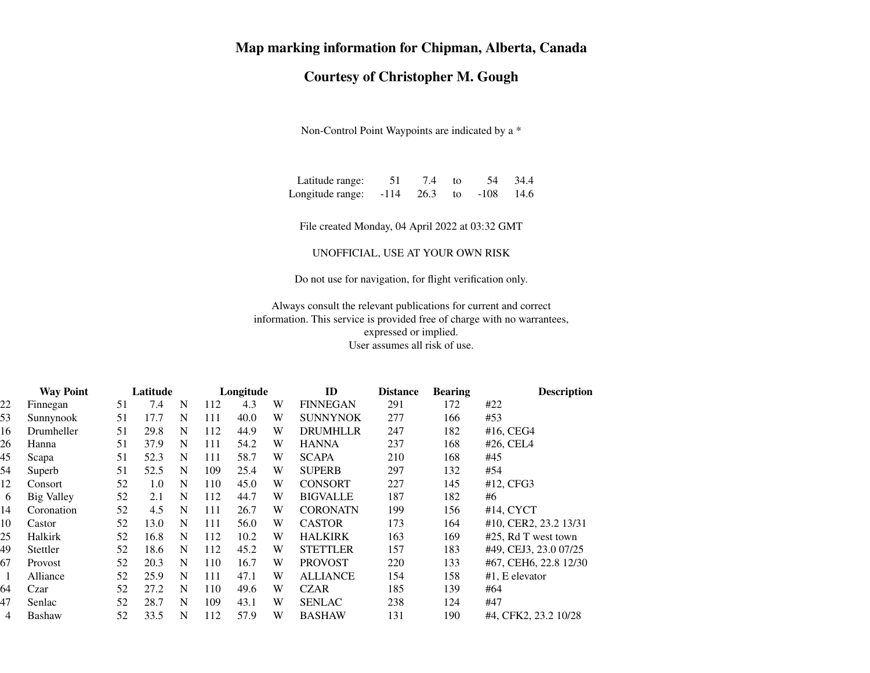## **Map marking information for Chipman, Alberta, Canada**

## **Courtesy of Christopher M. Gough**

Non-Control Point Waypoints are indicated by a \*

| Latitude range:  | 51     | 7.4              | to:                            |      | 54 34.4 |
|------------------|--------|------------------|--------------------------------|------|---------|
| Longitude range: | $-114$ | $\frac{4}{26.3}$ | $\frac{1}{2}$ to $\frac{1}{2}$ | -108 | - 14.6  |

File created Monday, 04 April 2022 at 03:32 GMT

UNOFFICIAL, USE AT YOUR OWN RISK

Do not use for navigation, for flight verification only.

Always consult the relevant publications for current and correct information. This service is provided free of charge with no warrantees,expressed or implied.User assumes all risk of use.

|    | <b>Way Point</b>  | Latitude |      | Longitude |     |      | ID | <b>Distance</b> | <b>Bearing</b> | <b>Description</b> |                          |
|----|-------------------|----------|------|-----------|-----|------|----|-----------------|----------------|--------------------|--------------------------|
| 22 | Finnegan          | 51       | 7.4  | N         | 112 | 4.3  | W  | <b>FINNEGAN</b> | 291            | 172                | #22                      |
| 53 | Sunnynook         | 51       | 17.7 | N         | 111 | 40.0 | W  | <b>SUNNYNOK</b> | 277            | 166                | #53                      |
| 16 | Drumheller        | 51       | 29.8 | N         | 112 | 44.9 | W  | <b>DRUMHLLR</b> | 247            | 182                | $#16$ , CEG4             |
| 26 | Hanna             | 51       | 37.9 | N         | 111 | 54.2 | W  | <b>HANNA</b>    | 237            | 168                | $#26$ , CEL <sub>4</sub> |
| 45 | Scapa             | 51       | 52.3 | N         | 111 | 58.7 | W  | <b>SCAPA</b>    | 210            | 168                | #45                      |
| 54 | Superb            | 51       | 52.5 | N         | 109 | 25.4 | W  | <b>SUPERB</b>   | 297            | 132                | #54                      |
| 12 | Consort           | 52       | 1.0  | N         | 110 | 45.0 | W  | <b>CONSORT</b>  | 227            | 145                | #12, CFG3                |
| 6  | <b>Big Valley</b> | 52       | 2.1  | N         | 112 | 44.7 | W  | <b>BIGVALLE</b> | 187            | 182                | #6                       |
| 14 | Coronation        | 52       | 4.5  | N         | 111 | 26.7 | W  | <b>CORONATN</b> | 199            | 156                | #14, CYCT                |
| 10 | Castor            | 52       | 13.0 | N         | 111 | 56.0 | W  | <b>CASTOR</b>   | 173            | 164                | #10, CER2, 23.2 13/31    |
| 25 | Halkirk           | 52       | 16.8 | N         | 112 | 10.2 | W  | <b>HALKIRK</b>  | 163            | 169                | #25, Rd T west town      |
| 49 | Stettler          | 52       | 18.6 | N         | 112 | 45.2 | W  | <b>STETTLER</b> | 157            | 183                | #49, CEJ3, 23.0 07/25    |
| 67 | Provost           | 52       | 20.3 | N         | 110 | 16.7 | W  | <b>PROVOST</b>  | 220            | 133                | #67, CEH6, 22.8 12/30    |
| 1  | Alliance          | 52       | 25.9 | N         | 111 | 47.1 | W  | <b>ALLIANCE</b> | 154            | 158                | $#1$ , E elevator        |
| 64 | Czar              | 52       | 27.2 | N         | 110 | 49.6 | W  | <b>CZAR</b>     | 185            | 139                | #64                      |
| 47 | Senlac            | 52       | 28.7 | N         | 109 | 43.1 | W  | <b>SENLAC</b>   | 238            | 124                | #47                      |
| 4  | <b>Bashaw</b>     | 52       | 33.5 | N         | 112 | 57.9 | W  | <b>BASHAW</b>   | 131            | 190                | #4, CFK2, 23.2 10/28     |
|    |                   |          |      |           |     |      |    |                 |                |                    |                          |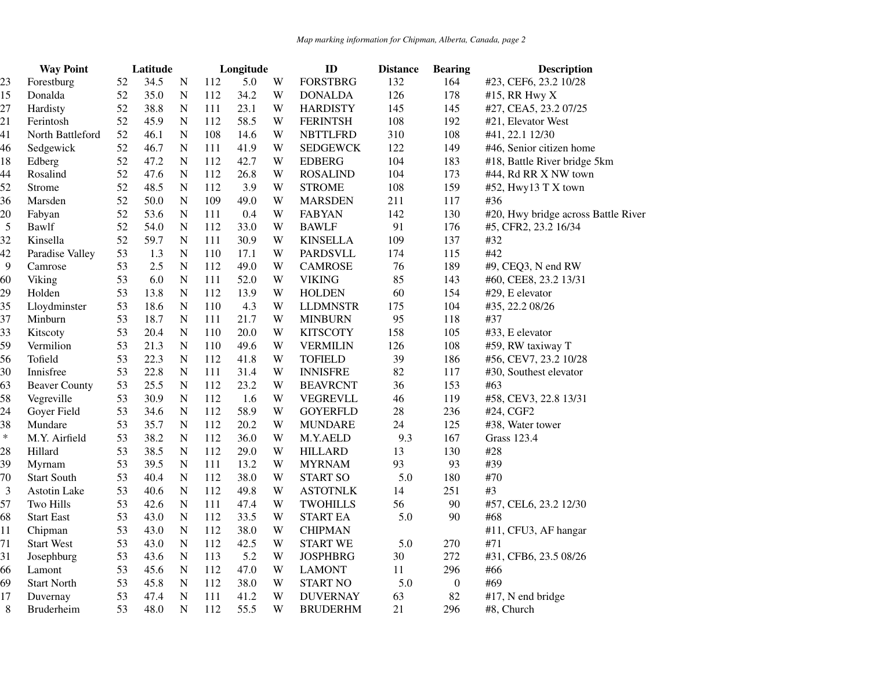|                | <b>Way Point</b>     |    | Latitude |             | Longitude |      |   | ID              | <b>Distance</b> | <b>Bearing</b>   | <b>Description</b>                  |  |
|----------------|----------------------|----|----------|-------------|-----------|------|---|-----------------|-----------------|------------------|-------------------------------------|--|
| 23             | Forestburg           | 52 | 34.5     | ${\bf N}$   | 112       | 5.0  | W | <b>FORSTBRG</b> | 132             | 164              | #23, CEF6, 23.2 10/28               |  |
| 15             | Donalda              | 52 | 35.0     | ${\bf N}$   | 112       | 34.2 | W | <b>DONALDA</b>  | 126             | 178              | #15, RR Hwy X                       |  |
| 27             | Hardisty             | 52 | 38.8     | ${\bf N}$   | 111       | 23.1 | W | <b>HARDISTY</b> | 145             | 145              | #27, CEA5, 23.2 07/25               |  |
| 21             | Ferintosh            | 52 | 45.9     | ${\bf N}$   | 112       | 58.5 | W | <b>FERINTSH</b> | 108             | 192              | #21, Elevator West                  |  |
| 41             | North Battleford     | 52 | 46.1     | ${\bf N}$   | 108       | 14.6 | W | <b>NBTTLFRD</b> | 310             | 108              | #41, 22.1 12/30                     |  |
| 46             | Sedgewick            | 52 | 46.7     | ${\bf N}$   | 111       | 41.9 | W | <b>SEDGEWCK</b> | 122             | 149              | #46, Senior citizen home            |  |
| 18             | Edberg               | 52 | 47.2     | ${\bf N}$   | 112       | 42.7 | W | <b>EDBERG</b>   | 104             | 183              | #18, Battle River bridge 5km        |  |
| 44             | Rosalind             | 52 | 47.6     | ${\bf N}$   | 112       | 26.8 | W | <b>ROSALIND</b> | 104             | 173              | #44, Rd RR X NW town                |  |
| 52             | Strome               | 52 | 48.5     | ${\bf N}$   | 112       | 3.9  | W | <b>STROME</b>   | 108             | 159              | #52, Hwy13 T X town                 |  |
| 36             | Marsden              | 52 | 50.0     | ${\bf N}$   | 109       | 49.0 | W | <b>MARSDEN</b>  | 211             | 117              | #36                                 |  |
| 20             | Fabyan               | 52 | 53.6     | ${\bf N}$   | 111       | 0.4  | W | <b>FABYAN</b>   | 142             | 130              | #20, Hwy bridge across Battle River |  |
| $\overline{5}$ | Bawlf                | 52 | 54.0     | ${\bf N}$   | 112       | 33.0 | W | <b>BAWLF</b>    | 91              | 176              | #5, CFR2, 23.2 16/34                |  |
| 32             | Kinsella             | 52 | 59.7     | ${\bf N}$   | 111       | 30.9 | W | <b>KINSELLA</b> | 109             | 137              | #32                                 |  |
| 42             | Paradise Valley      | 53 | 1.3      | ${\bf N}$   | 110       | 17.1 | W | <b>PARDSVLL</b> | 174             | 115              | #42                                 |  |
| 9              | Camrose              | 53 | 2.5      | ${\bf N}$   | 112       | 49.0 | W | <b>CAMROSE</b>  | 76              | 189              | #9, CEQ3, N end RW                  |  |
| 60             | Viking               | 53 | 6.0      | ${\bf N}$   | 111       | 52.0 | W | <b>VIKING</b>   | 85              | 143              | #60, CEE8, 23.2 13/31               |  |
| 29             | Holden               | 53 | 13.8     | ${\bf N}$   | 112       | 13.9 | W | <b>HOLDEN</b>   | 60              | 154              | #29, E elevator                     |  |
| 35             | Lloydminster         | 53 | 18.6     | ${\bf N}$   | 110       | 4.3  | W | <b>LLDMNSTR</b> | 175             | 104              | #35, 22.2 08/26                     |  |
| 37             | Minburn              | 53 | 18.7     | ${\bf N}$   | 111       | 21.7 | W | <b>MINBURN</b>  | 95              | 118              | #37                                 |  |
| 33             | Kitscoty             | 53 | 20.4     | ${\bf N}$   | 110       | 20.0 | W | <b>KITSCOTY</b> | 158             | 105              | #33, E elevator                     |  |
| 59             | Vermilion            | 53 | 21.3     | ${\bf N}$   | 110       | 49.6 | W | <b>VERMILIN</b> | 126             | 108              | #59, RW taxiway T                   |  |
| 56             | Tofield              | 53 | 22.3     | ${\bf N}$   | 112       | 41.8 | W | <b>TOFIELD</b>  | 39              | 186              | #56, CEV7, 23.2 10/28               |  |
| 30             | Innisfree            | 53 | 22.8     | ${\bf N}$   | 111       | 31.4 | W | <b>INNISFRE</b> | 82              | 117              | #30, Southest elevator              |  |
| 63             | <b>Beaver County</b> | 53 | 25.5     | ${\bf N}$   | 112       | 23.2 | W | <b>BEAVRCNT</b> | 36              | 153              | #63                                 |  |
| 58             | Vegreville           | 53 | 30.9     | ${\bf N}$   | 112       | 1.6  | W | VEGREVLL        | 46              | 119              | #58, CEV3, 22.8 13/31               |  |
| 24             | Goyer Field          | 53 | 34.6     | ${\bf N}$   | 112       | 58.9 | W | <b>GOYERFLD</b> | 28              | 236              | #24, CGF2                           |  |
| 38             | Mundare              | 53 | 35.7     | ${\bf N}$   | 112       | 20.2 | W | <b>MUNDARE</b>  | 24              | 125              | #38, Water tower                    |  |
| $\ast$         | M.Y. Airfield        | 53 | 38.2     | ${\bf N}$   | 112       | 36.0 | W | M.Y.AELD        | 9.3             | 167              | <b>Grass 123.4</b>                  |  |
| 28             | Hillard              | 53 | 38.5     | ${\bf N}$   | 112       | 29.0 | W | <b>HILLARD</b>  | 13              | 130              | #28                                 |  |
| 39             | Myrnam               | 53 | 39.5     | ${\bf N}$   | 111       | 13.2 | W | <b>MYRNAM</b>   | 93              | 93               | #39                                 |  |
| 70             | <b>Start South</b>   | 53 | 40.4     | ${\bf N}$   | 112       | 38.0 | W | <b>START SO</b> | 5.0             | 180              | #70                                 |  |
| 3              | Astotin Lake         | 53 | 40.6     | ${\bf N}$   | 112       | 49.8 | W | <b>ASTOTNLK</b> | 14              | 251              | #3                                  |  |
| 57             | Two Hills            | 53 | 42.6     | ${\bf N}$   | 111       | 47.4 | W | <b>TWOHILLS</b> | 56              | 90               | #57, CEL6, 23.2 12/30               |  |
| 68             | <b>Start East</b>    | 53 | 43.0     | ${\bf N}$   | 112       | 33.5 | W | <b>START EA</b> | 5.0             | 90               | #68                                 |  |
| 11             | Chipman              | 53 | 43.0     | ${\bf N}$   | 112       | 38.0 | W | <b>CHIPMAN</b>  |                 |                  | #11, CFU3, AF hangar                |  |
| 71             | <b>Start West</b>    | 53 | 43.0     | ${\bf N}$   | 112       | 42.5 | W | <b>START WE</b> | 5.0             | 270              | #71                                 |  |
| 31             | Josephburg           | 53 | 43.6     | ${\bf N}$   | 113       | 5.2  | W | <b>JOSPHBRG</b> | 30              | 272              | #31, CFB6, 23.5 08/26               |  |
| 66             | Lamont               | 53 | 45.6     | ${\bf N}$   | 112       | 47.0 | W | <b>LAMONT</b>   | 11              | 296              | #66                                 |  |
| 69             | <b>Start North</b>   | 53 | 45.8     | ${\bf N}$   | 112       | 38.0 | W | <b>START NO</b> | 5.0             | $\boldsymbol{0}$ | #69                                 |  |
| 17             | Duvernay             | 53 | 47.4     | ${\bf N}$   | 111       | 41.2 | W | <b>DUVERNAY</b> | 63              | 82               | #17, N end bridge                   |  |
| 8              | <b>Bruderheim</b>    | 53 | 48.0     | $\mathbf N$ | 112       | 55.5 | W | <b>BRUDERHM</b> | 21              | 296              | #8, Church                          |  |
|                |                      |    |          |             |           |      |   |                 |                 |                  |                                     |  |